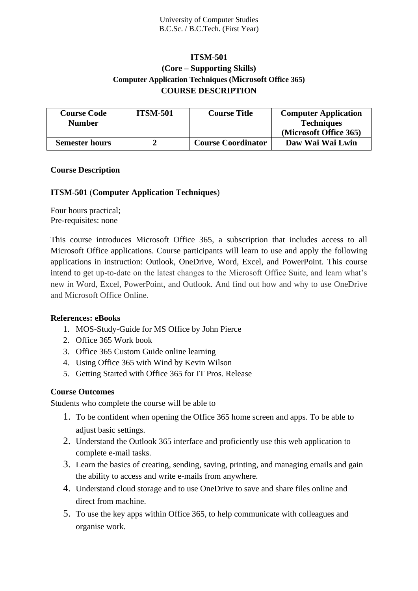# **ITSM-501 (Core – Supporting Skills) Computer Application Techniques (Microsoft Office 365) COURSE DESCRIPTION**

| <b>Course Code</b>    | <b>ITSM-501</b> | <b>Course Title</b>       | <b>Computer Application</b> |
|-----------------------|-----------------|---------------------------|-----------------------------|
| <b>Number</b>         |                 |                           | <b>Techniques</b>           |
|                       |                 |                           | (Microsoft Office 365)      |
| <b>Semester hours</b> |                 | <b>Course Coordinator</b> | Daw Wai Wai Lwin            |

# **Course Description**

# **ITSM-501** (**Computer Application Techniques**)

Four hours practical; Pre-requisites: none

This course introduces Microsoft Office 365, a subscription that includes access to all Microsoft Office applications. Course participants will learn to use and apply the following applications in instruction: Outlook, OneDrive, Word, Excel, and PowerPoint. This course intend to get up-to-date on the latest changes to the Microsoft Office Suite, and learn what's new in Word, Excel, PowerPoint, and Outlook. And find out how and why to use OneDrive and Microsoft Office Online.

# **References: eBooks**

- 1. MOS-Study-Guide for MS Office by John Pierce
- 2. Office 365 Work book
- 3. Office 365 Custom Guide online learning
- 4. Using Office 365 with Wind by Kevin Wilson
- 5. Getting Started with Office 365 for IT Pros. Release

#### **Course Outcomes**

Students who complete the course will be able to

- 1. To be confident when opening the Office 365 home screen and apps. To be able to adjust basic settings.
- 2. Understand the Outlook 365 interface and proficiently use this web application to complete e-mail tasks.
- 3. Learn the basics of creating, sending, saving, printing, and managing emails and gain the ability to access and write e-mails from anywhere.
- 4. Understand cloud storage and to use OneDrive to save and share files online and direct from machine.
- 5. To use the key apps within Office 365, to help communicate with colleagues and organise work.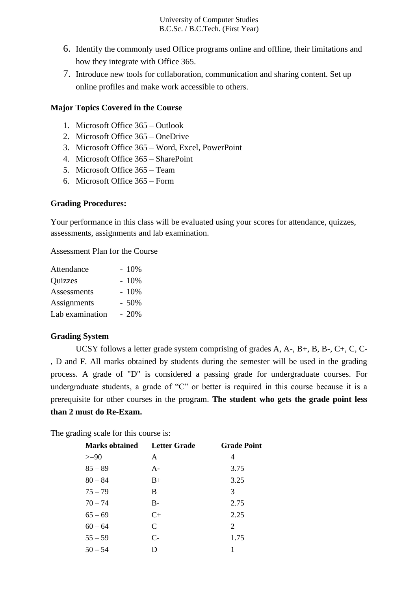- 6. Identify the commonly used Office programs online and offline, their limitations and how they integrate with Office 365.
- 7. Introduce new tools for collaboration, communication and sharing content. Set up online profiles and make work accessible to others.

#### **Major Topics Covered in the Course**

- 1. Microsoft Office 365 Outlook
- 2. Microsoft Office 365 OneDrive
- 3. Microsoft Office 365 Word, Excel, PowerPoint
- 4. Microsoft Office 365 SharePoint
- 5. Microsoft Office 365 Team
- 6. Microsoft Office 365 Form

#### **Grading Procedures:**

Your performance in this class will be evaluated using your scores for attendance, quizzes, assessments, assignments and lab examination.

Assessment Plan for the Course

| Attendance      | $-10%$ |
|-----------------|--------|
| Quizzes         | $-10%$ |
| Assessments     | $-10%$ |
| Assignments     | $-50%$ |
| Lab examination | $-20%$ |

# **Grading System**

UCSY follows a letter grade system comprising of grades A, A-, B+, B, B-, C+, C, C- , D and F. All marks obtained by students during the semester will be used in the grading process. A grade of "D" is considered a passing grade for undergraduate courses. For undergraduate students, a grade of "C" or better is required in this course because it is a prerequisite for other courses in the program. **The student who gets the grade point less than 2 must do Re-Exam.**

The grading scale for this course is:

| <b>Marks obtained</b> Letter Grade |               | <b>Grade Point</b> |
|------------------------------------|---------------|--------------------|
| $>=$ 90                            | A             | 4                  |
| $85 - 89$                          | $A -$         | 3.75               |
| $80 - 84$                          | $B+$          | 3.25               |
| $75 - 79$                          | B             | 3                  |
| $70 - 74$                          | $B-$          | 2.75               |
| $65 - 69$                          | $C+$          | 2.25               |
| $60 - 64$                          | $\mathcal{C}$ | 2                  |
| $55 - 59$                          | $C-$          | 1.75               |
| $50 - 54$                          | D             |                    |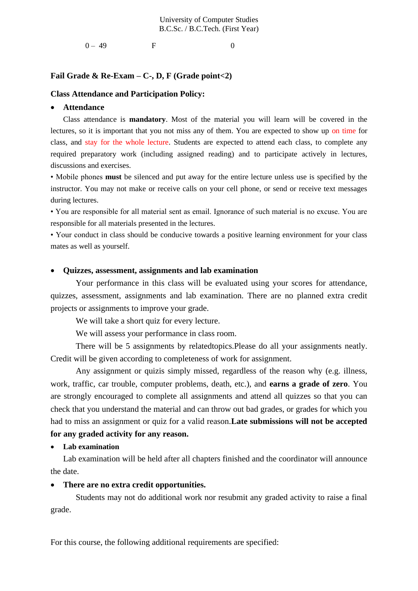$0 - 49$  F 0

#### **Fail Grade & Re-Exam – C-, D, F (Grade point<2)**

#### **Class Attendance and Participation Policy:**

#### • **Attendance**

Class attendance is **mandatory**. Most of the material you will learn will be covered in the lectures, so it is important that you not miss any of them. You are expected to show up on time for class, and stay for the whole lecture. Students are expected to attend each class, to complete any required preparatory work (including assigned reading) and to participate actively in lectures, discussions and exercises.

• Mobile phones **must** be silenced and put away for the entire lecture unless use is specified by the instructor. You may not make or receive calls on your cell phone, or send or receive text messages during lectures.

• You are responsible for all material sent as email. Ignorance of such material is no excuse. You are responsible for all materials presented in the lectures.

• Your conduct in class should be conducive towards a positive learning environment for your class mates as well as yourself.

#### • **Quizzes, assessment, assignments and lab examination**

Your performance in this class will be evaluated using your scores for attendance, quizzes, assessment, assignments and lab examination. There are no planned extra credit projects or assignments to improve your grade.

We will take a short quiz for every lecture.

We will assess your performance in class room.

There will be 5 assignments by relatedtopics.Please do all your assignments neatly. Credit will be given according to completeness of work for assignment.

Any assignment or quizis simply missed, regardless of the reason why (e.g. illness, work, traffic, car trouble, computer problems, death, etc.), and **earns a grade of zero**. You are strongly encouraged to complete all assignments and attend all quizzes so that you can check that you understand the material and can throw out bad grades, or grades for which you had to miss an assignment or quiz for a valid reason.**Late submissions will not be accepted for any graded activity for any reason.**

• **Lab examination**

Lab examination will be held after all chapters finished and the coordinator will announce the date.

#### • **There are no extra credit opportunities.**

Students may not do additional work nor resubmit any graded activity to raise a final grade.

For this course, the following additional requirements are specified: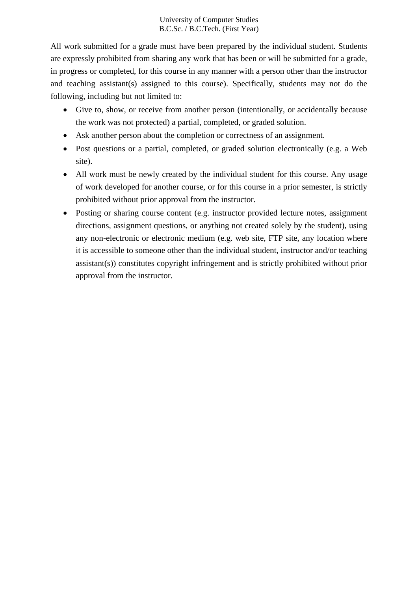All work submitted for a grade must have been prepared by the individual student. Students are expressly prohibited from sharing any work that has been or will be submitted for a grade, in progress or completed, for this course in any manner with a person other than the instructor and teaching assistant(s) assigned to this course). Specifically, students may not do the following, including but not limited to:

- Give to, show, or receive from another person (intentionally, or accidentally because the work was not protected) a partial, completed, or graded solution.
- Ask another person about the completion or correctness of an assignment.
- Post questions or a partial, completed, or graded solution electronically (e.g. a Web site).
- All work must be newly created by the individual student for this course. Any usage of work developed for another course, or for this course in a prior semester, is strictly prohibited without prior approval from the instructor.
- Posting or sharing course content (e.g. instructor provided lecture notes, assignment directions, assignment questions, or anything not created solely by the student), using any non-electronic or electronic medium (e.g. web site, FTP site, any location where it is accessible to someone other than the individual student, instructor and/or teaching assistant(s)) constitutes copyright infringement and is strictly prohibited without prior approval from the instructor.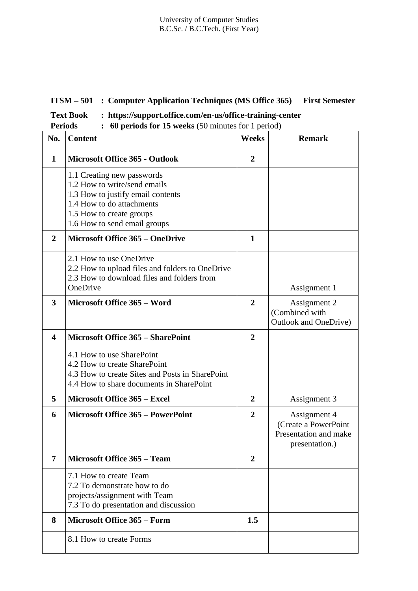# **ITSM – 501 : Computer Application Techniques (MS Office 365) First Semester**

| <b>Text Book</b> | https://support.office.com/en-us/office-training-center |
|------------------|---------------------------------------------------------|
|------------------|---------------------------------------------------------|

**Periods** : **60 periods for 15 weeks** (50 minutes for 1 period)

| No.                  | <b>Content</b>                                                                                                                                                                           | <b>Weeks</b>   | <b>Remark</b>                                                                   |
|----------------------|------------------------------------------------------------------------------------------------------------------------------------------------------------------------------------------|----------------|---------------------------------------------------------------------------------|
| $\mathbf 1$          | <b>Microsoft Office 365 - Outlook</b>                                                                                                                                                    | $\overline{2}$ |                                                                                 |
|                      | 1.1 Creating new passwords<br>1.2 How to write/send emails<br>1.3 How to justify email contents<br>1.4 How to do attachments<br>1.5 How to create groups<br>1.6 How to send email groups |                |                                                                                 |
| $\overline{2}$       | <b>Microsoft Office 365 – OneDrive</b>                                                                                                                                                   | $\mathbf{1}$   |                                                                                 |
|                      | 2.1 How to use OneDrive<br>2.2 How to upload files and folders to OneDrive<br>2.3 How to download files and folders from<br>OneDrive                                                     |                | Assignment 1                                                                    |
| $\overline{3}$       | Microsoft Office 365 - Word                                                                                                                                                              | $\overline{2}$ | Assignment 2<br>(Combined with<br>Outlook and OneDrive)                         |
| $\blacktriangleleft$ | <b>Microsoft Office 365 - SharePoint</b>                                                                                                                                                 | $\overline{2}$ |                                                                                 |
|                      | 4.1 How to use SharePoint<br>4.2 How to create SharePoint<br>4.3 How to create Sites and Posts in SharePoint<br>4.4 How to share documents in SharePoint                                 |                |                                                                                 |
| 5                    | Microsoft Office 365 - Excel                                                                                                                                                             | $\overline{2}$ | Assignment 3                                                                    |
| 6                    | <b>Microsoft Office 365 - PowerPoint</b>                                                                                                                                                 | $\overline{2}$ | Assignment 4<br>(Create a PowerPoint<br>Presentation and make<br>presentation.) |
| $\overline{7}$       | <b>Microsoft Office 365 - Team</b>                                                                                                                                                       | $\overline{2}$ |                                                                                 |
|                      | 7.1 How to create Team<br>7.2 To demonstrate how to do<br>projects/assignment with Team<br>7.3 To do presentation and discussion                                                         |                |                                                                                 |
| 8                    | <b>Microsoft Office 365 – Form</b>                                                                                                                                                       | 1.5            |                                                                                 |
|                      | 8.1 How to create Forms                                                                                                                                                                  |                |                                                                                 |